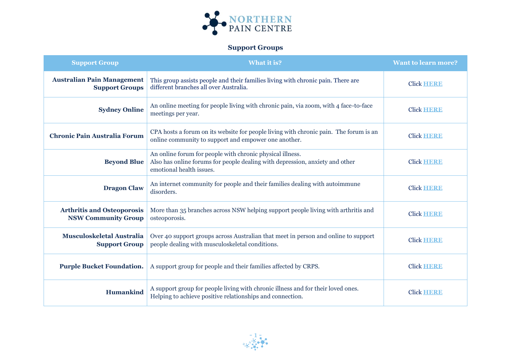

## **Support Groups**

| <b>Support Group</b>                                            | <b>What it is?</b>                                                                                                                                                    | <b>Want to learn more?</b> |
|-----------------------------------------------------------------|-----------------------------------------------------------------------------------------------------------------------------------------------------------------------|----------------------------|
| <b>Australian Pain Management</b><br><b>Support Groups</b>      | This group assists people and their families living with chronic pain. There are<br>different branches all over Australia.                                            | <b>Click HERE</b>          |
| <b>Sydney Online</b>                                            | An online meeting for people living with chronic pain, via zoom, with 4 face-to-face<br>meetings per year.                                                            | <b>Click HERE</b>          |
| <b>Chronic Pain Australia Forum</b>                             | CPA hosts a forum on its website for people living with chronic pain. The forum is an<br>online community to support and empower one another.                         | <b>Click HERE</b>          |
| <b>Beyond Blue</b>                                              | An online forum for people with chronic physical illness.<br>Also has online forums for people dealing with depression, anxiety and other<br>emotional health issues. | <b>Click HERE</b>          |
| <b>Dragon Claw</b>                                              | An internet community for people and their families dealing with autoimmune<br>disorders.                                                                             | <b>Click HERE</b>          |
| <b>Arthritis and Osteoporosis</b><br><b>NSW Community Group</b> | More than 35 branches across NSW helping support people living with arthritis and<br>osteoporosis.                                                                    | <b>Click HERE</b>          |
| <b>Musculoskeletal Australia</b><br><b>Support Group</b>        | Over 40 support groups across Australian that meet in person and online to support<br>people dealing with musculoskeletal conditions.                                 | <b>Click HERE</b>          |
| <b>Purple Bucket Foundation.</b>                                | A support group for people and their families affected by CRPS.                                                                                                       | <b>Click HERE</b>          |
| Humankind                                                       | A support group for people living with chronic illness and for their loved ones.<br>Helping to achieve positive relationships and connection.                         | <b>Click HERE</b>          |